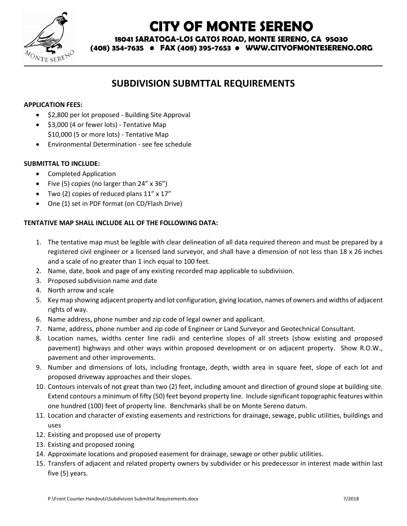

# **CITY OF MONTE SERENO**

**18041 SARATOGA-LOS GATOS ROAD, MONTE SERENO, CA 95030**

**(408) 354-7635 • FAX (408) 395-7653 • WWW.CITYOFMONTESERENO.ORG**

## **SUBDIVISION SUBMTTAL REQUIREMENTS**

### **APPLICATION FEES:**

- $\bullet$  \$2,800 per lot proposed Building Site Approval
- $\bullet$  \$3,000 (4 or fewer lots) Tentative Map \$10,000 (5 or more lots) - Tentative Map
- Environmental Determination see fee schedule

### **SUBMITTAL TO INCLUDE:**

- Completed Application
- Five (5) copies (no larger than  $24'' \times 36''$ )
- Two (2) copies of reduced plans 11" x 17"
- One (1) set in PDF format (on CD/Flash Drive)

### **TENTATIVE MAP SHALL INCLUDE ALL OF THE FOLLOWING DATA:**

- 1. The tentative map must be legible with clear delineation of all data required thereon and must be prepared by a registered civil engineer or a licensed land surveyor, and shall have a dimension of not less than 18 x 26 inches and a scale of no greater than 1 inch equal to 100 feet*.*
- 2. Name, date, book and page of any existing recorded map applicable to subdivision.
- 3. Proposed subdivision name and date
- 4. North arrow and scale
- 5. Key map showing adjacent property and lot configuration, giving location, names of owners and widths of adjacent rights of way.
- 6. Name address, phone number and zip code of legal owner and applicant.
- 7. Name, address, phone number and zip code of Engineer or Land Surveyor and Geotechnical Consultant.
- 8. Location names, widths center line radii and centerline slopes of all streets (show existing and proposed pavement) highways and other ways within proposed development or on adjacent property. Show R.O.W., pavement and other improvements.
- 9. Number and dimensions of lots, including frontage, depth, width area in square feet, slope of each lot and proposed driveway approaches and their slopes.
- 10. Contours intervals of not great than two (2) feet, including amount and direction of ground slope at building site. Extend contours a minimum of fifty (50) feet beyond property line. Include significant topographic features within one hundred (100) feet of property line. Benchmarks shall be on Monte Sereno datum.
- 11. Location and character of existing easements and restrictions for drainage, sewage, public utilities, buildings and uses
- 12. Existing and proposed use of property
- 13. Existing and proposed zoning
- 14. Approximate locations and proposed easement for drainage, sewage or other public utilities.
- 15. Transfers of adjacent and related property owners by subdivider or his predecessor in interest made within last five (5) years.